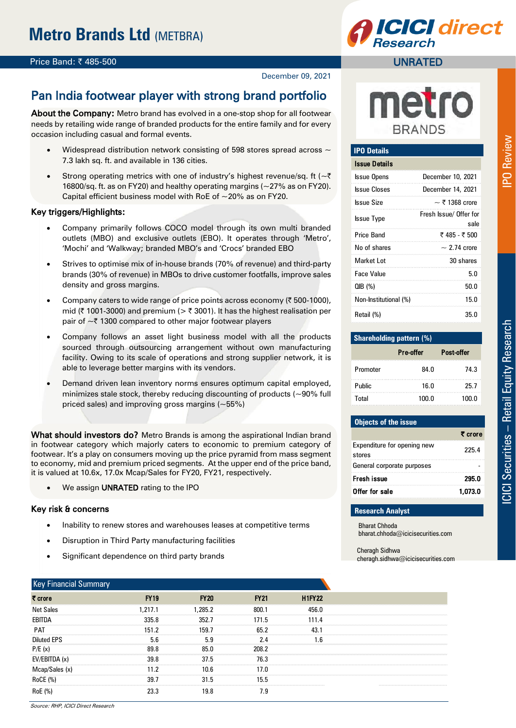### **Price Band: ₹485-500**

December 09, 2021

## Pan India footwear player with strong brand portfolio

About the Company: Metro brand has evolved in a one-stop shop for all footwear needs by retailing wide range of branded products for the entire family and for every occasion including casual and formal events.

- Widespread distribution network consisting of 598 stores spread across  $\sim$ 7.3 lakh sq. ft. and available in 136 cities.
- Strong operating metrics with one of industry's highest revenue/sq. ft ( $\sim \bar{\tau}$ ) 16800/sq. ft. as on FY20) and healthy operating margins (~27% as on FY20). Capital efficient business model with RoE of  $\sim$  20% as on FY20.

#### Key triggers/Highlights:

- Company primarily follows COCO model through its own multi branded outlets (MBO) and exclusive outlets (EBO). It operates through 'Metro', 'Mochi' and 'Walkway; branded MBO's and 'Crocs' branded EBO
- Strives to optimise mix of in-house brands (70% of revenue) and third-party brands (30% of revenue) in MBOs to drive customer footfalls, improve sales density and gross margins.
- Company caters to wide range of price points across economy  $(3, 500, 1000)$ , mid ( $\bar{\tau}$  1001-3000) and premium ( $\bar{\tau}$  3001). It has the highest realisation per pair of  $\sim$  ₹ 1300 compared to other major footwear players
- Company follows an asset light business model with all the products sourced through outsourcing arrangement without own manufacturing facility. Owing to its scale of operations and strong supplier network, it is able to leverage better margins with its vendors.
- Demand driven lean inventory norms ensures optimum capital employed, minimizes stale stock, thereby reducing discounting of products (~90% full priced sales) and improving gross margins (~55%)

What should investors do? Metro Brands is among the aspirational Indian brand in footwear category which majorly caters to economic to premium category of footwear. It's a play on consumers moving up the price pyramid from mass segment to economy, mid and premium priced segments. At the upper end of the price band, it is valued at 10.6x, 17.0x Mcap/Sales for FY20, FY21, respectively.

We assign **UNRATED** rating to the IPO

#### Key risk & concerns

- Inability to renew stores and warehouses leases at competitive terms
- Disruption in Third Party manufacturing facilities
- Significant dependence on third party brands

| <b>Key Financial Summary</b> |                                             |             |             |               |
|------------------------------|---------------------------------------------|-------------|-------------|---------------|
| ₹ crore                      | <b>FY19</b>                                 | <b>FY20</b> | <b>FY21</b> | <b>H1FY22</b> |
| <b>Net Sales</b>             | .217.1                                      | 1.285.2     | 800 1       | 456 N         |
| EBITDA                       | 335.8                                       | 352.7       | 171.5       | 111.4         |
| PAT                          | 151.2                                       | 159.7       | 65.2        |               |
| <b>Diluted EPS</b>           | 5.6                                         | 5.9         | 2.4         | l.6           |
| P/E(x)                       |                                             |             | 208.2       |               |
| EV/EBITDA (x)                | 39.8<br>----------------------------------- | 37.5        | 76.3        |               |
| Mcap/Sales (x)               |                                             |             | 17 N        |               |
| RoCE (%)                     | 39.7                                        |             | 15.5        |               |
| RoE (%                       |                                             |             | 7.9         |               |



## UNRATED

## **IPO Details**

| Issue Details         |                                |
|-----------------------|--------------------------------|
| <b>Issue Opens</b>    | December 10, 2021              |
| <b>Issue Closes</b>   | December 14, 2021              |
| <b>Issue Size</b>     | $\sim$ ₹ 1368 crore            |
| <b>Issue Type</b>     | Fresh Issue/ Offer for<br>sale |
| <b>Price Band</b>     | ₹485 - ₹500                    |
| No of shares          | $\sim$ 2.74 crore              |
| Market I ot           | 30 shares                      |
| <b>Face Value</b>     | 5.0                            |
| QIB(%)                | 50.0                           |
| Non-Institutional (%) | 15.0                           |
| Retail (%)            | 35.0                           |

| <b>Shareholding pattern (%)</b> |           |            |  |  |
|---------------------------------|-----------|------------|--|--|
|                                 | Pre-offer | Post-offer |  |  |
| Promoter                        | 84.0      | 74.3       |  |  |
| <b>Public</b>                   | 16.0      | 25.7       |  |  |
| Total                           | 100.0     | 100.0      |  |  |

# **Objects of the issue**

| Expenditure for opening new<br>stores | 225.4   |
|---------------------------------------|---------|
| General corporate purposes            |         |
| Fresh issue                           | 295.0   |
| Offer for sale                        | 1,073.0 |
|                                       |         |

#### **Research Analyst**

Bharat Chhoda bharat.chhoda@icicisecurities.com

Cheragh Sidhwa cheragh.sidhwa@icicisecurities.com PO Review

 $\overline{r}$  or  $\overline{r}$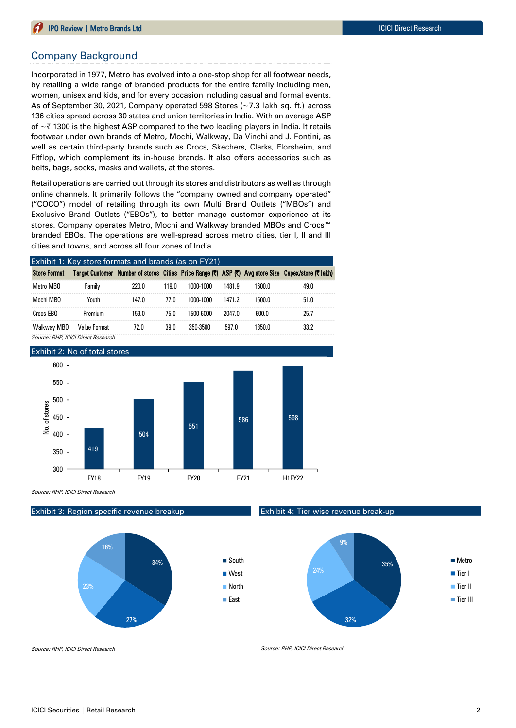### Company Background

Incorporated in 1977, Metro has evolved into a one-stop shop for all footwear needs, by retailing a wide range of branded products for the entire family including men, women, unisex and kids, and for every occasion including casual and formal events. As of September 30, 2021, Company operated 598 Stores (~7.3 lakh sq. ft.) across 136 cities spread across 30 states and union territories in India. With an average ASP of  $\sim$  ₹ 1300 is the highest ASP compared to the two leading players in India. It retails footwear under own brands of Metro, Mochi, Walkway, Da Vinchi and J. Fontini, as well as certain third-party brands such as Crocs, Skechers, Clarks, Florsheim, and Fitflop, which complement its in-house brands. It also offers accessories such as belts, bags, socks, masks and wallets, at the stores.

Retail operations are carried out through its stores and distributors as well as through online channels. It primarily follows the "company owned and company operated" ("COCO") model of retailing through its own Multi Brand Outlets ("MBOs") and Exclusive Brand Outlets ("EBOs"), to better manage customer experience at its stores. Company operates Metro, Mochi and Walkway branded MBOs and Crocs<sup>™</sup> branded EBOs. The operations are well-spread across metro cities, tier I, II and III cities and towns, and across all four zones of India.

| Exhibit 1: Key store formats and brands (as on FY21) |              |       |       |           |        |        |                                                                                                     |  |
|------------------------------------------------------|--------------|-------|-------|-----------|--------|--------|-----------------------------------------------------------------------------------------------------|--|
| <b>Store Format</b>                                  |              |       |       |           |        |        | Target Customer Number of stores Cities Price Range (₹) ASP (₹) Avg store Size Capex/store (₹ lakh) |  |
| Metro MBO                                            | Family       | 220.0 | 119.0 | 1000-1000 | 1481.9 | 1600.0 | 49.0                                                                                                |  |
| Mochi MBO                                            | Youth        | 147.0 | 77.0  | 1000-1000 | 1471.2 | 1500.0 | 51.0                                                                                                |  |
| Crocs FBO                                            | Premium      | 159.0 | 75.0  | 1500-6000 | 2047.0 | 600.0  | 25.7                                                                                                |  |
| Walkway MBO                                          | Value Format | 72.0  | 39.0  | 350-3500  | 597.0  | 1350.0 | 33.2                                                                                                |  |

Source: RHP, ICICI Direct Research



Source: RHP, ICICI Direct Research

#### Exhibit 3: Region specific revenue breakup



Exhibit 4: Tier wise revenue break-up



Source: RHP, ICICI Direct Research

Source: RHP, ICICI Direct Research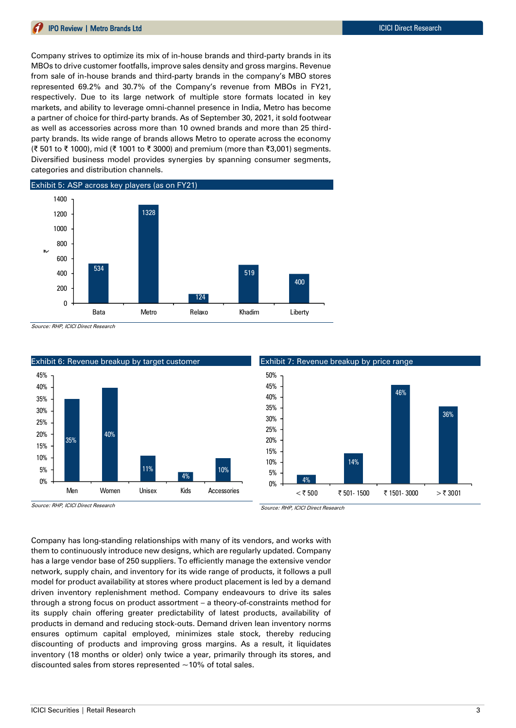Company strives to optimize its mix of in-house brands and third-party brands in its MBOs to drive customer footfalls, improve sales density and gross margins. Revenue from sale of in-house brands and third-party brands in the company's MBO stores represented 69.2% and 30.7% of the Company's revenue from MBOs in FY21, respectively. Due to its large network of multiple store formats located in key markets, and ability to leverage omni-channel presence in India, Metro has become a partner of choice for third-party brands. As of September 30, 2021, it sold footwear as well as accessories across more than 10 owned brands and more than 25 thirdparty brands. Its wide range of brands allows Metro to operate across the economy (₹ 501 to ₹ 1000), mid (₹ 1001 to ₹ 3000) and premium (more than ₹3,001) segments. Diversified business model provides synergies by spanning consumer segments, categories and distribution channels.



Source: RHP, ICICI Direct Research



Source: RHP, ICICI Direct Research

Source: RHP, ICICI Direct Research

Company has long-standing relationships with many of its vendors, and works with them to continuously introduce new designs, which are regularly updated. Company has a large vendor base of 250 suppliers. To efficiently manage the extensive vendor network, supply chain, and inventory for its wide range of products, it follows a pull model for product availability at stores where product placement is led by a demand driven inventory replenishment method. Company endeavours to drive its sales through a strong focus on product assortment – a theory-of-constraints method for its supply chain offering greater predictability of latest products, availability of products in demand and reducing stock-outs. Demand driven lean inventory norms ensures optimum capital employed, minimizes stale stock, thereby reducing discounting of products and improving gross margins. As a result, it liquidates inventory (18 months or older) only twice a year, primarily through its stores, and discounted sales from stores represented  $\sim$  10% of total sales.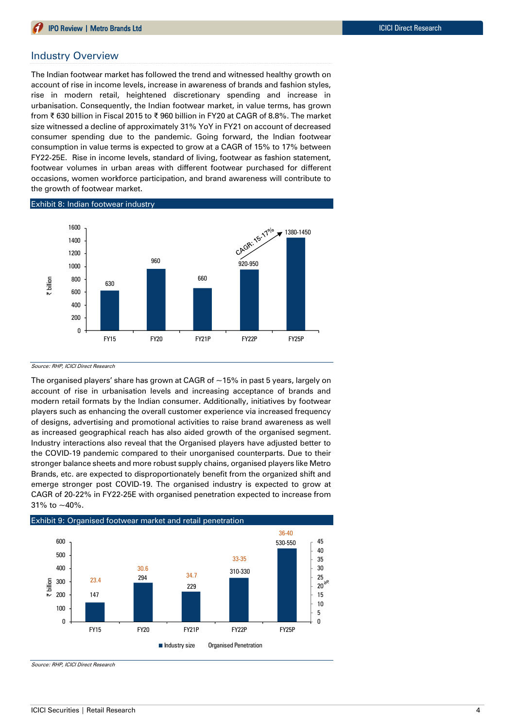#### Industry Overview

The Indian footwear market has followed the trend and witnessed healthy growth on account of rise in income levels, increase in awareness of brands and fashion styles, rise in modern retail, heightened discretionary spending and increase in urbanisation. Consequently, the Indian footwear market, in value terms, has grown from ₹ 630 billion in Fiscal 2015 to ₹ 960 billion in FY20 at CAGR of 8.8%. The market size witnessed a decline of approximately 31% YoY in FY21 on account of decreased consumer spending due to the pandemic. Going forward, the Indian footwear consumption in value terms is expected to grow at a CAGR of 15% to 17% between FY22-25E. Rise in income levels, standard of living, footwear as fashion statement, footwear volumes in urban areas with different footwear purchased for different occasions, women workforce participation, and brand awareness will contribute to the growth of footwear market.



#### Source: RHP, ICICI Direct Research

The organised players' share has grown at CAGR of  $\sim$  15% in past 5 years, largely on account of rise in urbanisation levels and increasing acceptance of brands and modern retail formats by the Indian consumer. Additionally, initiatives by footwear players such as enhancing the overall customer experience via increased frequency of designs, advertising and promotional activities to raise brand awareness as well as increased geographical reach has also aided growth of the organised segment. Industry interactions also reveal that the Organised players have adjusted better to the COVID-19 pandemic compared to their unorganised counterparts. Due to their stronger balance sheets and more robust supply chains, organised players like Metro Brands, etc. are expected to disproportionately benefit from the organized shift and emerge stronger post COVID-19. The organised industry is expected to grow at CAGR of 20-22% in FY22-25E with organised penetration expected to increase from 31% to ~40%.



Source: RHP, ICICI Direct Research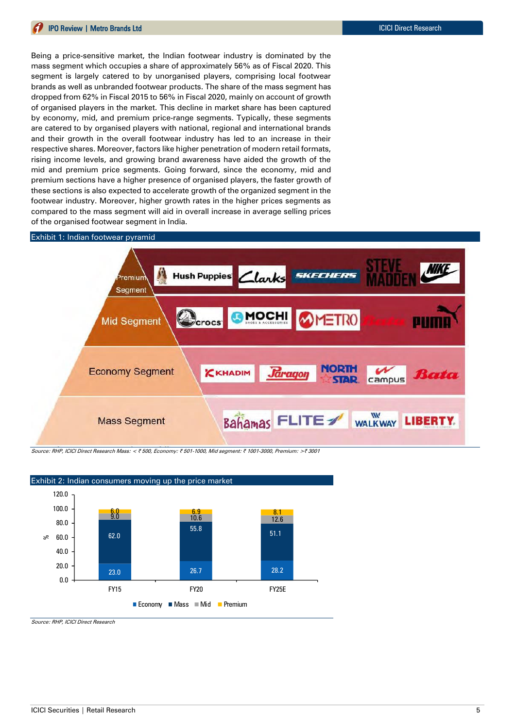Being a price-sensitive market, the Indian footwear industry is dominated by the mass segment which occupies a share of approximately 56% as of Fiscal 2020. This segment is largely catered to by unorganised players, comprising local footwear brands as well as unbranded footwear products. The share of the mass segment has dropped from 62% in Fiscal 2015 to 56% in Fiscal 2020, mainly on account of growth of organised players in the market. This decline in market share has been captured by economy, mid, and premium price-range segments. Typically, these segments are catered to by organised players with national, regional and international brands and their growth in the overall footwear industry has led to an increase in their respective shares. Moreover, factors like higher penetration of modern retail formats, rising income levels, and growing brand awareness have aided the growth of the mid and premium price segments. Going forward, since the economy, mid and premium sections have a higher presence of organised players, the faster growth of these sections is also expected to accelerate growth of the organized segment in the footwear industry. Moreover, higher growth rates in the higher prices segments as compared to the mass segment will aid in overall increase in average selling prices of the organised footwear segment in India.

## Exhibit 1: Indian footwear pyramid



Source: RHP, ICICI Direct Research Mass: < ₹ 500, Economy: ₹ 501-1000, Mid segment: ₹ 1001-3000, Premium: >₹ 3001



Source: RHP, ICICI Direct Research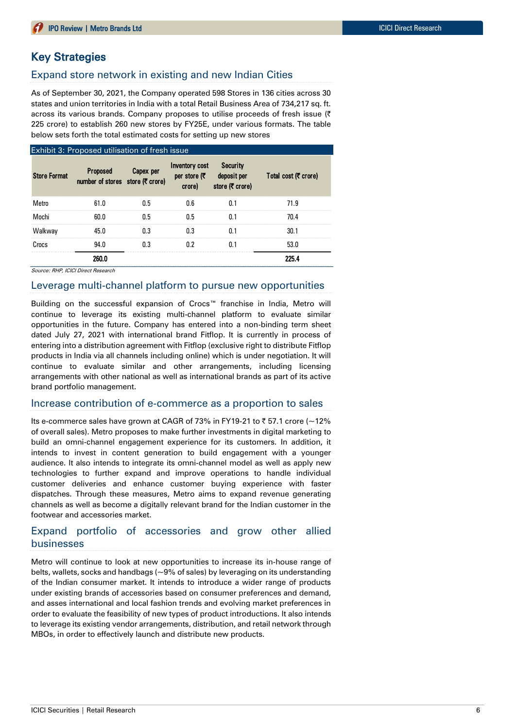## Key Strategies

## Expand store network in existing and new Indian Cities

As of September 30, 2021, the Company operated 598 Stores in 136 cities across 30 states and union territories in India with a total Retail Business Area of 734,217 sq. ft. across its various brands. Company proposes to utilise proceeds of fresh issue  $(3)$ 225 crore) to establish 260 new stores by FY25E, under various formats. The table below sets forth the total estimated costs for setting up new stores

|                     | Exhibit 3: Proposed utilisation of fresh issue      |           |                                                  |                                                   |                      |
|---------------------|-----------------------------------------------------|-----------|--------------------------------------------------|---------------------------------------------------|----------------------|
| <b>Store Format</b> | <b>Proposed</b><br>number of stores store (₹ crore) | Capex per | <b>Inventory cost</b><br>per store $($<br>crore) | <b>Security</b><br>deposit per<br>store (て crore) | Total cost (て crore) |
| Metro               | 61.0                                                | 0.5       | 0.6                                              | 0.1                                               | 71.9                 |
| Mochi               | 60.0                                                | 0.5       | 0.5                                              | 0.1                                               | 70.4                 |
| Walkway             | 45.0                                                | 0.3       | 0.3                                              | 0.1                                               | 30.1                 |
| Crocs               | 94.0                                                | 0.3       | 0.2                                              | 0.1                                               | 53.0                 |
|                     | 260.0                                               |           |                                                  |                                                   | 225.4                |

Source: RHP, ICICI Direct Research

#### Leverage multi-channel platform to pursue new opportunities

Building on the successful expansion of Crocs™ franchise in India, Metro will continue to leverage its existing multi-channel platform to evaluate similar opportunities in the future. Company has entered into a non-binding term sheet dated July 27, 2021 with international brand Fitflop. It is currently in process of entering into a distribution agreement with Fitflop (exclusive right to distribute Fitflop products in India via all channels including online) which is under negotiation. It will continue to evaluate similar and other arrangements, including licensing arrangements with other national as well as international brands as part of its active brand portfolio management.

### Increase contribution of e-commerce as a proportion to sales

Its e-commerce sales have grown at CAGR of 73% in FY19-21 to  $\bar{z}$  57.1 crore (~12% of overall sales). Metro proposes to make further investments in digital marketing to build an omni-channel engagement experience for its customers. In addition, it intends to invest in content generation to build engagement with a younger audience. It also intends to integrate its omni-channel model as well as apply new technologies to further expand and improve operations to handle individual customer deliveries and enhance customer buying experience with faster dispatches. Through these measures, Metro aims to expand revenue generating channels as well as become a digitally relevant brand for the Indian customer in the footwear and accessories market.

## Expand portfolio of accessories and grow other allied businesses

Metro will continue to look at new opportunities to increase its in-house range of belts, wallets, socks and handbags (~9% of sales) by leveraging on its understanding of the Indian consumer market. It intends to introduce a wider range of products under existing brands of accessories based on consumer preferences and demand, and asses international and local fashion trends and evolving market preferences in order to evaluate the feasibility of new types of product introductions. It also intends to leverage its existing vendor arrangements, distribution, and retail network through MBOs, in order to effectively launch and distribute new products.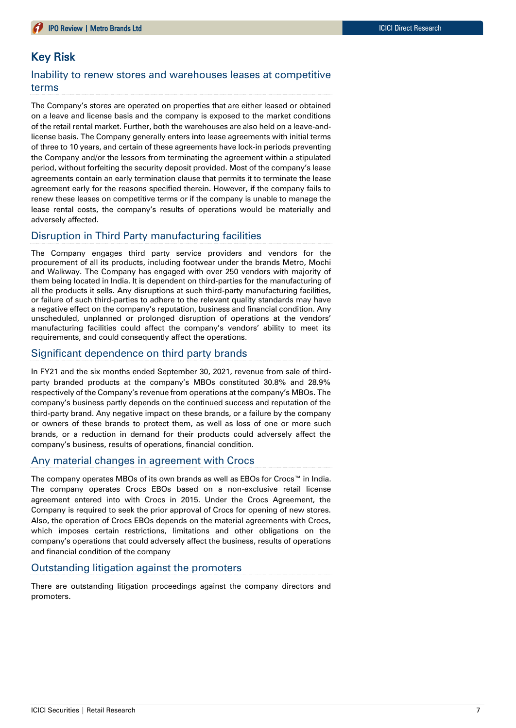## Key Risk

## Inability to renew stores and warehouses leases at competitive terms

The Company's stores are operated on properties that are either leased or obtained on a leave and license basis and the company is exposed to the market conditions of the retail rental market. Further, both the warehouses are also held on a leave-andlicense basis. The Company generally enters into lease agreements with initial terms of three to 10 years, and certain of these agreements have lock-in periods preventing the Company and/or the lessors from terminating the agreement within a stipulated period, without forfeiting the security deposit provided. Most of the company's lease agreements contain an early termination clause that permits it to terminate the lease agreement early for the reasons specified therein. However, if the company fails to renew these leases on competitive terms or if the company is unable to manage the lease rental costs, the company's results of operations would be materially and adversely affected.

## Disruption in Third Party manufacturing facilities

The Company engages third party service providers and vendors for the procurement of all its products, including footwear under the brands Metro, Mochi and Walkway. The Company has engaged with over 250 vendors with majority of them being located in India. It is dependent on third-parties for the manufacturing of all the products it sells. Any disruptions at such third-party manufacturing facilities, or failure of such third-parties to adhere to the relevant quality standards may have a negative effect on the company's reputation, business and financial condition. Any unscheduled, unplanned or prolonged disruption of operations at the vendors' manufacturing facilities could affect the company's vendors' ability to meet its requirements, and could consequently affect the operations.

## Significant dependence on third party brands

In FY21 and the six months ended September 30, 2021, revenue from sale of thirdparty branded products at the company's MBOs constituted 30.8% and 28.9% respectively of the Company's revenue from operations at the company's MBOs. The company's business partly depends on the continued success and reputation of the third-party brand. Any negative impact on these brands, or a failure by the company or owners of these brands to protect them, as well as loss of one or more such brands, or a reduction in demand for their products could adversely affect the company's business, results of operations, financial condition.

### Any material changes in agreement with Crocs

The company operates MBOs of its own brands as well as EBOs for Crocs™ in India. The company operates Crocs EBOs based on a non-exclusive retail license agreement entered into with Crocs in 2015. Under the Crocs Agreement, the Company is required to seek the prior approval of Crocs for opening of new stores. Also, the operation of Crocs EBOs depends on the material agreements with Crocs, which imposes certain restrictions, limitations and other obligations on the company's operations that could adversely affect the business, results of operations and financial condition of the company

## Outstanding litigation against the promoters

There are outstanding litigation proceedings against the company directors and promoters.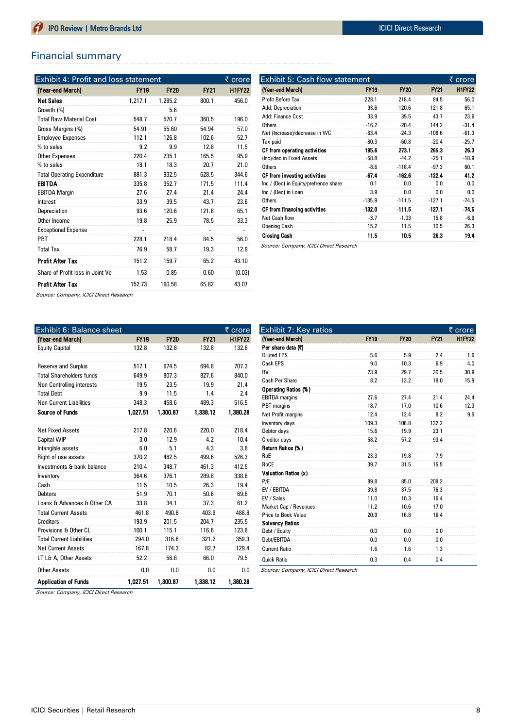## Financial summary

| <b>Exhibit 4: Profit and loss statement</b> |             |             |             |               |  |  |
|---------------------------------------------|-------------|-------------|-------------|---------------|--|--|
| (Year-end March)                            | <b>FY19</b> | <b>FY20</b> | <b>FY21</b> | <b>H1FY22</b> |  |  |
| <b>Net Sales</b>                            | 1.217.1     | 1.285.2     | 800.1       | 456.0         |  |  |
| Growth (%)                                  |             | 5.6         |             |               |  |  |
| <b>Total Raw Material Cost</b>              | 548.7       | 570.7       | 360.5       | 196.0         |  |  |
| Gross Margins (%)                           | 54.91       | 55.60       | 54.94       | 57.0          |  |  |
| <b>Employee Expenses</b>                    | 112.1       | 126.8       | 102.6       | 52.7          |  |  |
| % to sales                                  | 9.2         | 9.9         | 12.8        | 11.5          |  |  |
| Other Expenses                              | 220.4       | 235.1       | 165.5       | 95.9          |  |  |
| % to sales                                  | 18.1        | 18.3        | 20.7        | 21.0          |  |  |
| <b>Total Operating Expenditure</b>          | 881.3       | 932.5       | 628.5       | 344.6         |  |  |
| <b>EBITDA</b>                               | 335.8       | 352.7       | 171.5       | 111.4         |  |  |
| <b>EBITDA Margin</b>                        | 27.6        | 27.4        | 21.4        | 24.4          |  |  |
| Interest                                    | 33.9        | 39.5        | 43.7        | 23.6          |  |  |
| Depreciation                                | 93.6        | 120.6       | 121.8       | 65.1          |  |  |
| Other Income                                | 19.8        | 25.9        | 78.5        | 33.3          |  |  |
| <b>Exceptional Expense</b>                  |             |             |             |               |  |  |
| <b>PRT</b>                                  | 228.1       | 218.4       | 84.5        | 56.0          |  |  |
| <b>Total Tax</b>                            | 76.9        | 58.7        | 19.3        | 12.9          |  |  |
| <b>Profit After Tax</b>                     | 151.2       | 159.7       | 65.2        | 43.10         |  |  |
| Share of Profit loss in Joint Ve            | 1.53        | 0.85        | 0.60        | (0.03)        |  |  |
| <b>Profit After Tax</b>                     | 152.73      | 160.58      | 65.82       | 43.07         |  |  |

| Exhibit 5: Cash flow statement<br>₹ crore |             |             |          |               |  |
|-------------------------------------------|-------------|-------------|----------|---------------|--|
| (Year-end March)                          | <b>FY19</b> | <b>FY20</b> | FY21     | <b>H1FY22</b> |  |
| Profit Before Tax                         | 228.1       | 218.4       | 84.5     | 56.0          |  |
| <b>Add: Depreciation</b>                  | 93.6        | 120.6       | 121.8    | 65.1          |  |
| Add: Finance Cost                         | 33.9        | 39.5        | 43.7     | 23.6          |  |
| Others                                    | $-16.2$     | $-20.4$     | 144.2    | $-31.4$       |  |
| Net (Increase)/decrease in WC             | $-63.4$     | $-24.3$     | $-108.6$ | $-61.3$       |  |
| Tax paid                                  | $-80.3$     | $-60.8$     | $-20.4$  | $-25.7$       |  |
| CF from operating activities              | 195.6       | 273.1       | 265.3    | 26.3          |  |
| (Inc)/dec in Fixed Assets                 | $-58.8$     | $-44.2$     | $-25.1$  | $-18.9$       |  |
| Others                                    | $-8.6$      | $-118.4$    | $-97.3$  | 60.1          |  |
| CF from investing activities              | $-67.4$     | $-162.6$    | $-122.4$ | 41.2          |  |
| Inc / (Dec) in Equity/prefrence share     | 0.1         | 0 O         | 0 O      | 0.0           |  |
| Inc / (Dec) in Loan                       | 3.9         | 0.0         | 0.0      | 0.0           |  |
| Others                                    | $-135.9$    | $-111.5$    | $-127.1$ | $-74.5$       |  |
| CF from financing activities              | $-132.0$    | $-111.5$    | $-127.1$ | $-74.5$       |  |
| Net Cash flow                             | $-3.7$      | $-1.03$     | 15.8     | $-6.9$        |  |
| <b>Opening Cash</b>                       | 15.2        | 11.5        | 10.5     | 26.3          |  |
| Closing Cash                              | 11.5        | 10.5        | 26.3     | 19.4          |  |

Source: Company, ICICI Direct Research

Source: Company, ICICI Direct Research

| Exhibit 6: Balance sheet         |             |             |             | ₹ crore       |
|----------------------------------|-------------|-------------|-------------|---------------|
| (Year-end March)                 | <b>FY19</b> | <b>FY20</b> | <b>FY21</b> | <b>H1FY22</b> |
| <b>Equity Capital</b>            | 132.8       | 132.8       | 132.8       | 132.8         |
|                                  |             |             |             |               |
| <b>Reserve and Surplus</b>       | 517.1       | 674.5       | 694.8       | 707.3         |
| <b>Total Shareholders funds</b>  | 649.9       | 807.3       | 827.6       | 840.0         |
| Non Controlling interests        | 19.5        | 23.5        | 19.9        | 21.4          |
| <b>Total Debt</b>                | 9.9         | 11.5        | 1.4         | 2.4           |
| <b>Non Current Liabilities</b>   | 348.3       | 458.6       | 489.3       | 516.5         |
| <b>Source of Funds</b>           | 1.027.51    | 1,300.87    | 1,338.12    | 1,380.28      |
| <b>Net Fixed Assets</b>          | 217.8       | 220.6       | 220.0       | 218.4         |
| <b>Capital WIP</b>               | 3.0         | 12.9        | 4.2         | 10.4          |
| Intangible assets                | 6.0         | 5.1         | 4.3         | 3.8           |
| Right of use assets              | 370.2       | 482.5       | 499.6       | 526.3         |
| Investments & bank balance       | 210.4       | 348.7       | 461.3       | 412.5         |
| Inventory                        | 364.6       | 376.1       | 289.8       | 338.6         |
| Cash                             | 11.5        | 10.5        | 26.3        | 19.4          |
| <b>Debtors</b>                   | 51.9        | 70.1        | 50.6        | 69.6          |
| Loans & Advances & Other CA      | 33.8        | 34.1        | 37.3        | 61.2          |
| <b>Total Current Assets</b>      | 461.8       | 490.8       | 403.9       | 488.8         |
| Creditors                        | 193.9       | 201.5       | 204.7       | 235.5         |
| Provisions & Other CL            | 100.1       | 115.1       | 116.6       | 123.8         |
| <b>Total Current Liabilities</b> | 294.0       | 316.6       | 321.2       | 359.3         |
| <b>Net Current Assets</b>        | 167.8       | 174.3       | 82.7        | 129.4         |
| LT L& A, Other Assets            | 52.2        | 56.8        | 66.0        | 79.5          |
| <b>Other Assets</b>              | 0.0         | 0.0         | 0.0         | 0.0           |
| <b>Application of Funds</b>      | 1.027.51    | 1.300.87    | 1.338.12    | 1.380.28      |

| Exhibit 7: Key ratios  |             |             |             | ₹ crore       |
|------------------------|-------------|-------------|-------------|---------------|
| (Year-end March)       | <b>FY19</b> | <b>FY20</b> | <b>FY21</b> | <b>H1FY22</b> |
| Per share data (T)     |             |             |             |               |
| <b>Diluted EPS</b>     | 5.6         | 5.9         | 2.4         | 1.6           |
| Cash EPS               | 9.0         | 10.3        | 6.9         | 4.0           |
| <b>BV</b>              | 23.9        | 29.7        | 30.5        | 30.9          |
| Cash Per Share         | 8.2         | 13.2        | 18.0        | 15.9          |
| Operating Ratios (%)   |             |             |             |               |
| <b>EBITDA</b> margins  | 27.6        | 27.4        | 21.4        | 24.4          |
| PBT margins            | 18.7        | 17.0        | 10.6        | 12.3          |
| Net Profit margins     | 12.4        | 12.4        | 8.2         | 9.5           |
| Inventory days         | 109.3       | 106.8       | 132.2       |               |
| Debtor days            | 15.6        | 19.9        | 23.1        |               |
| <b>Creditor days</b>   | 58.2        | 57.2        | 93.4        |               |
| Return Ratios (%)      |             |             |             |               |
| RoE                    | 23.3        | 19.8        | 7.9         |               |
| RoCE                   | 39.7        | 31.5        | 15.5        |               |
| Valuation Ratios (x)   |             |             |             |               |
| P/E                    | 89.8        | 85.0        | 208.2       |               |
| EV / EBITDA            | 39.8        | 37.5        | 76.3        |               |
| EV / Sales             | 11.0        | 10.3        | 16.4        |               |
| Market Cap / Revenues  | 11.2        | 10.6        | 17.0        |               |
| Price to Book Value    | 20.9        | 16.8        | 16.4        |               |
| <b>Solvency Ratios</b> |             |             |             |               |
| Debt / Equity          | 0.0         | 0.0         | 0.0         |               |
| Debt/EBITDA            | 0.0         | 0.0         | 0.0         |               |
| <b>Current Ratio</b>   | 1.6         | 1.6         | 1.3         |               |
| <b>Quick Ratio</b>     | 0.3         | 0.4         | 0.4         |               |

Source: Company, ICICI Direct Research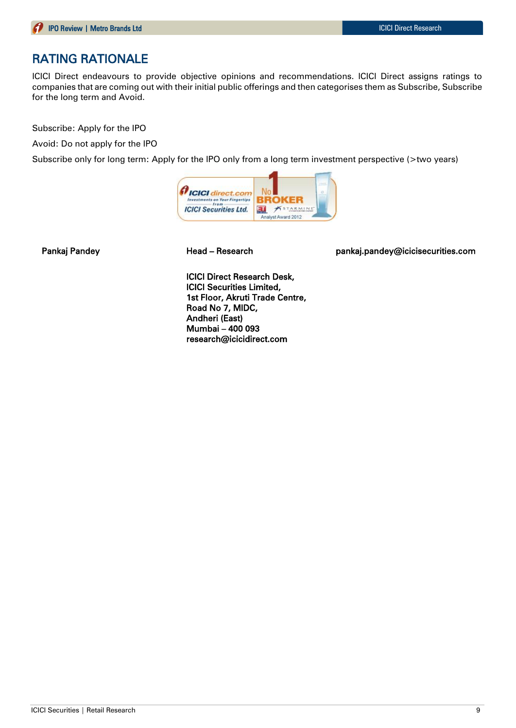## RATING RATIONALE

ICICI Direct endeavours to provide objective opinions and recommendations. ICICI Direct assigns ratings to companies that are coming out with their initial public offerings and then categorises them as Subscribe, Subscribe for the long term and Avoid.

Subscribe: Apply for the IPO

Avoid: Do not apply for the IPO

Subscribe only for long term: Apply for the IPO only from a long term investment perspective (>two years)



Pankaj Pandey **Mandey Read – Research East Communist Pankaj.pandey@icicisecurities.com** 

ICICI Direct Research Desk, ICICI Securities Limited, 1st Floor, Akruti Trade Centre, Road No 7, MIDC, Andheri (East) Mumbai – 400 093 research@icicidirect.com